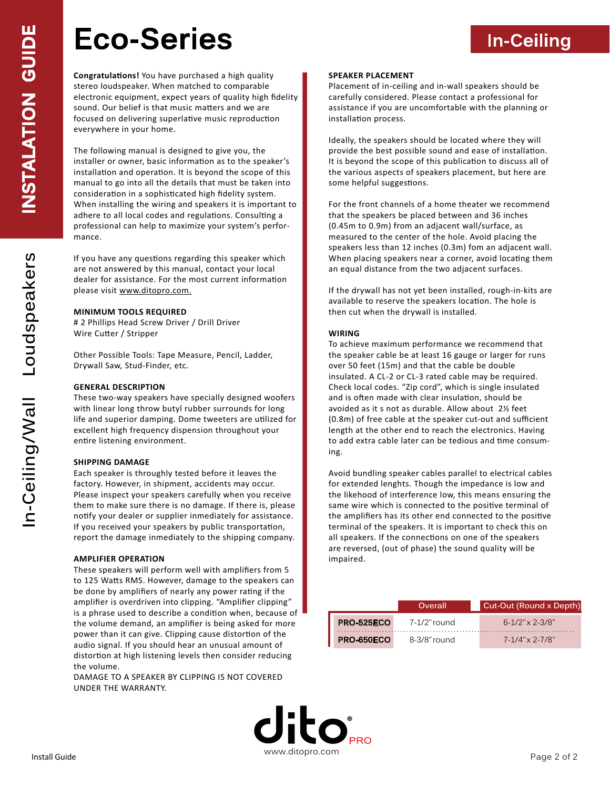## **Eco-Series**

**Congratulations!** You have purchased a high quality stereo loudspeaker. When matched to comparable electronic equipment, expect years of quality high fidelity sound. Our belief is that music matters and we are focused on delivering superlative music reproduction everywhere in your home.

The following manual is designed to give you, the installer or owner, basic information as to the speaker's installation and operation. It is beyond the scope of this manual to go into all the details that must be taken into consideration in a sophisticated high fidelity system. When installing the wiring and speakers it is important to adhere to all local codes and regulations. Consulting a professional can help to maximize your system's performance.

If you have any questions regarding this speaker which are not answered by this manual, contact your local dealer for assistance. For the most current information please visit www.ditopro.com.

#### **MINIMUM TOOLS REQUIRED**

# 2 Phillips Head Screw Driver / Drill Driver Wire Cutter / Stripper

Other Possible Tools: Tape Measure, Pencil, Ladder, Drywall Saw, Stud-Finder, etc.

#### **GENERAL DESCRIPTION**

These two-way speakers have specially designed woofers with linear long throw butyl rubber surrounds for long life and superior damping. Dome tweeters are utilized for excellent high frequency dispension throughout your entire listening environment.

#### **SHIPPING DAMAGE**

Each speaker is throughly tested before it leaves the factory. However, in shipment, accidents may occur. Please inspect your speakers carefully when you receive them to make sure there is no damage. If there is, please notify your dealer or supplier inmediately for assistance. If you received your speakers by public transportation, report the damage inmediately to the shipping company.

#### **AMPLIFIER OPERATION**

These speakers will perform well with amplifiers from 5 to 125 Watts RMS. However, damage to the speakers can be done by amplifiers of nearly any power rating if the amplifier is overdriven into clipping. "Amplifier clipping" is a phrase used to describe a condition when, because of the volume demand, an amplifier is being asked for more power than it can give. Clipping cause distortion of the audio signal. If you should hear an unusual amount of distortion at high listening levels then consider reducing the volume.

DAMAGE TO A SPEAKER BY CLIPPING IS NOT COVERED UNDER THE WARRANTY.

#### **SPEAKER PLACEMENT**

Placement of in-ceiling and in-wall speakers should be carefully considered. Please contact a professional for assistance if you are uncomfortable with the planning or installation process.

**In-Ceiling**

Ideally, the speakers should be located where they will provide the best possible sound and ease of installation. It is beyond the scope of this publication to discuss all of the various aspects of speakers placement, but here are some helpful suggestions.

For the front channels of a home theater we recommend that the speakers be placed between and 36 inches (0.45m to 0.9m) from an adjacent wall/surface, as measured to the center of the hole. Avoid placing the speakers less than 12 inches (0.3m) fom an adjacent wall. When placing speakers near a corner, avoid locating them an equal distance from the two adjacent surfaces.

If the drywall has not yet been installed, rough-in-kits are available to reserve the speakers location. The hole is then cut when the drywall is installed.

#### **WIRING**

To achieve maximum performance we recommend that the speaker cable be at least 16 gauge or larger for runs over 50 feet (15m) and that the cable be double insulated. A CL-2 or CL-3 rated cable may be required. Check local codes. "Zip cord", which is single insulated and is often made with clear insulation, should be avoided as it s not as durable. Allow about 2½ feet (0.8m) of free cable at the speaker cut-out and sufficient length at the other end to reach the electronics. Having to add extra cable later can be tedious and time consuming.

Avoid bundling speaker cables parallel to electrical cables for extended lenghts. Though the impedance is low and the likehood of interference low, this means ensuring the same wire which is connected to the positive terminal of the amplifiers has its other end connected to the positive terminal of the speakers. It is important to check this on all speakers. If the connections on one of the speakers are reversed, (out of phase) the sound quality will be impaired.

|                   | Overall         | Cut-Out (Round x Depth) |
|-------------------|-----------------|-------------------------|
| <b>PRO-525ECO</b> | 7-1/2" round    | $6 - 1/2$ " x 2-3/8"    |
| <b>PRO-650ECO</b> | $8-3/8$ " round | $7-1/4$ " x 2-7/8"      |